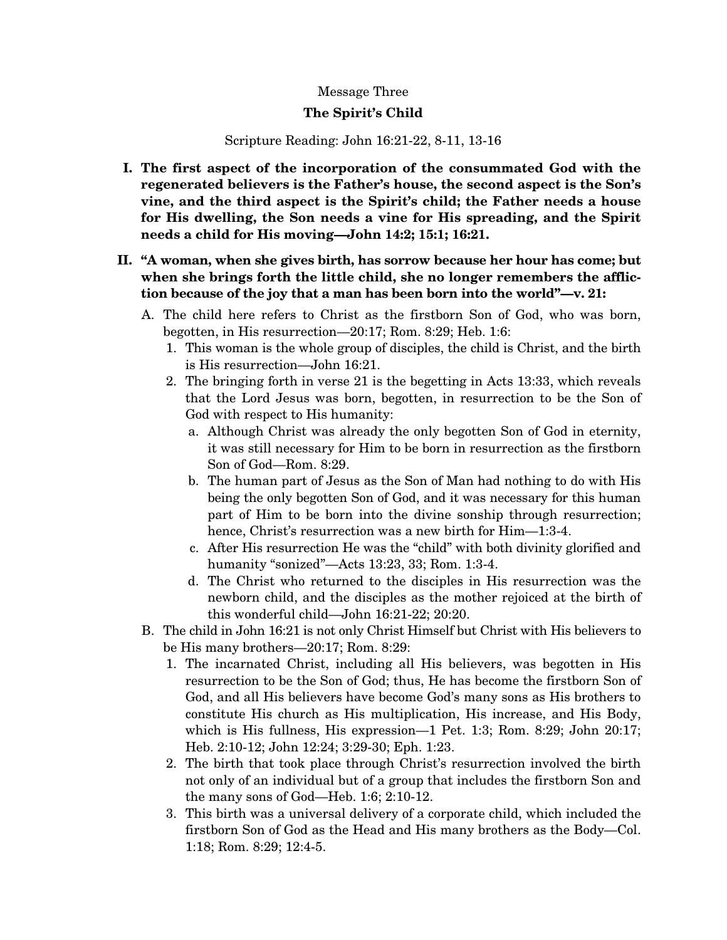## Message Three

## **The Spirit's Child**

## Scripture Reading: John 16:21-22, 8-11, 13-16

- **I. The first aspect of the incorporation of the consummated God with the regenerated believers is the Father's house, the second aspect is the Son's vine, and the third aspect is the Spirit's child; the Father needs a house for His dwelling, the Son needs a vine for His spreading, and the Spirit needs a child for His moving—John 14:2; 15:1; 16:21.**
- **II. "A woman, when she gives birth, has sorrow because her hour has come; but when she brings forth the little child, she no longer remembers the affliction because of the joy that a man has been born into the world"—v. 21:** 
	- A. The child here refers to Christ as the firstborn Son of God, who was born, begotten, in His resurrection—20:17; Rom. 8:29; Heb. 1:6:
		- 1. This woman is the whole group of disciples, the child is Christ, and the birth is His resurrection—John 16:21.
		- 2. The bringing forth in verse 21 is the begetting in Acts 13:33, which reveals that the Lord Jesus was born, begotten, in resurrection to be the Son of God with respect to His humanity:
			- a. Although Christ was already the only begotten Son of God in eternity, it was still necessary for Him to be born in resurrection as the firstborn Son of God—Rom. 8:29.
			- b. The human part of Jesus as the Son of Man had nothing to do with His being the only begotten Son of God, and it was necessary for this human part of Him to be born into the divine sonship through resurrection; hence, Christ's resurrection was a new birth for Him—1:3-4.
			- c. After His resurrection He was the "child" with both divinity glorified and humanity "sonized"—Acts 13:23, 33; Rom. 1:3-4.
			- d. The Christ who returned to the disciples in His resurrection was the newborn child, and the disciples as the mother rejoiced at the birth of this wonderful child—John 16:21-22; 20:20.
	- B. The child in John 16:21 is not only Christ Himself but Christ with His believers to be His many brothers—20:17; Rom. 8:29:
		- 1. The incarnated Christ, including all His believers, was begotten in His resurrection to be the Son of God; thus, He has become the firstborn Son of God, and all His believers have become God's many sons as His brothers to constitute His church as His multiplication, His increase, and His Body, which is His fullness, His expression—1 Pet. 1:3; Rom. 8:29; John 20:17; Heb. 2:10-12; John 12:24; 3:29-30; Eph. 1:23.
		- 2. The birth that took place through Christ's resurrection involved the birth not only of an individual but of a group that includes the firstborn Son and the many sons of God—Heb. 1:6; 2:10-12.
		- 3. This birth was a universal delivery of a corporate child, which included the firstborn Son of God as the Head and His many brothers as the Body—Col. 1:18; Rom. 8:29; 12:4-5.